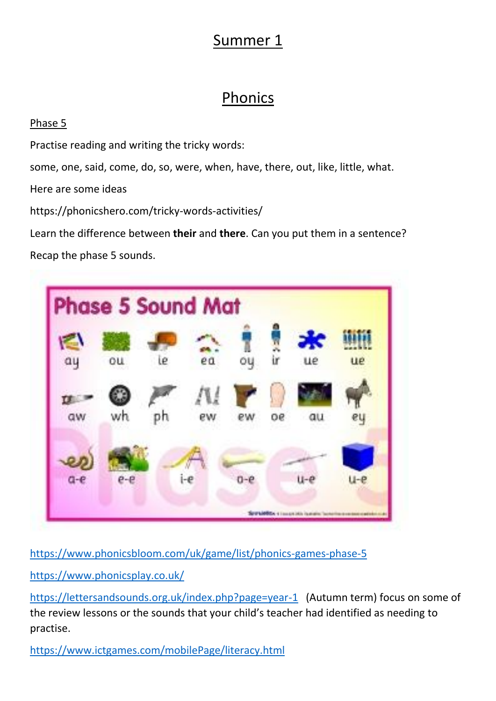## Summer 1

## **Phonics**

#### Phase 5

Practise reading and writing the tricky words:

some, one, said, come, do, so, were, when, have, there, out, like, little, what.

Here are some ideas

https://phonicshero.com/tricky-words-activities/

Learn the difference between **their** and **there**. Can you put them in a sentence? Recap the phase 5 sounds.



<https://www.phonicsbloom.com/uk/game/list/phonics-games-phase-5>

<https://www.phonicsplay.co.uk/>

<https://lettersandsounds.org.uk/index.php?page=year-1>(Autumn term) focus on some of the review lessons or the sounds that your child's teacher had identified as needing to practise.

<https://www.ictgames.com/mobilePage/literacy.html>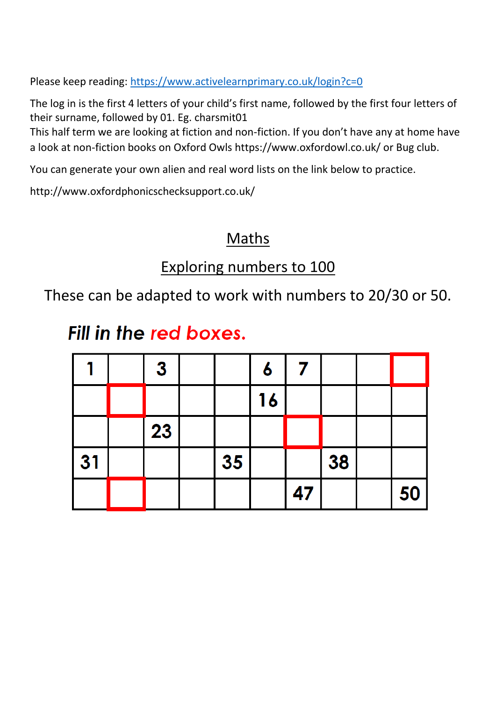Please keep reading:<https://www.activelearnprimary.co.uk/login?c=0>

The log in is the first 4 letters of your child's first name, followed by the first four letters of their surname, followed by 01. Eg. charsmit01

This half term we are looking at fiction and non-fiction. If you don't have any at home have a look at non-fiction books on Oxford Owls https://www.oxfordowl.co.uk/ or Bug club.

You can generate your own alien and real word lists on the link below to practice.

http://www.oxfordphonicschecksupport.co.uk/

#### **Maths**

#### Exploring numbers to 100

These can be adapted to work with numbers to 20/30 or 50.

## Fill in the red boxes.

|    | $\boldsymbol{3}$ |    | 6  |    |    |    |
|----|------------------|----|----|----|----|----|
|    |                  |    | 16 |    |    |    |
|    | 23               |    |    |    |    |    |
| 31 |                  | 35 |    |    | 38 |    |
|    |                  |    |    | 47 |    | 50 |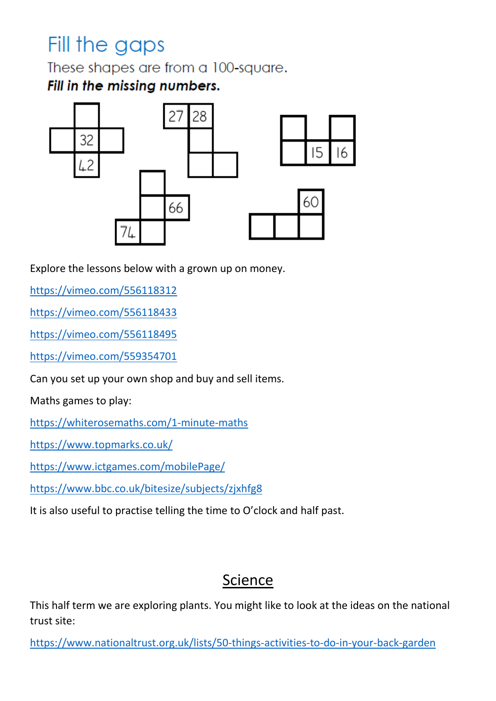# Fill the gaps

These shapes are from a 100-square. Fill in the missing numbers.



Explore the lessons below with a grown up on money.

<https://vimeo.com/556118312>

<https://vimeo.com/556118433>

<https://vimeo.com/556118495>

<https://vimeo.com/559354701>

Can you set up your own shop and buy and sell items.

Maths games to play:

<https://whiterosemaths.com/1-minute-maths>

<https://www.topmarks.co.uk/>

<https://www.ictgames.com/mobilePage/>

<https://www.bbc.co.uk/bitesize/subjects/zjxhfg8>

It is also useful to practise telling the time to O'clock and half past.

#### Science

This half term we are exploring plants. You might like to look at the ideas on the national trust site:

<https://www.nationaltrust.org.uk/lists/50-things-activities-to-do-in-your-back-garden>